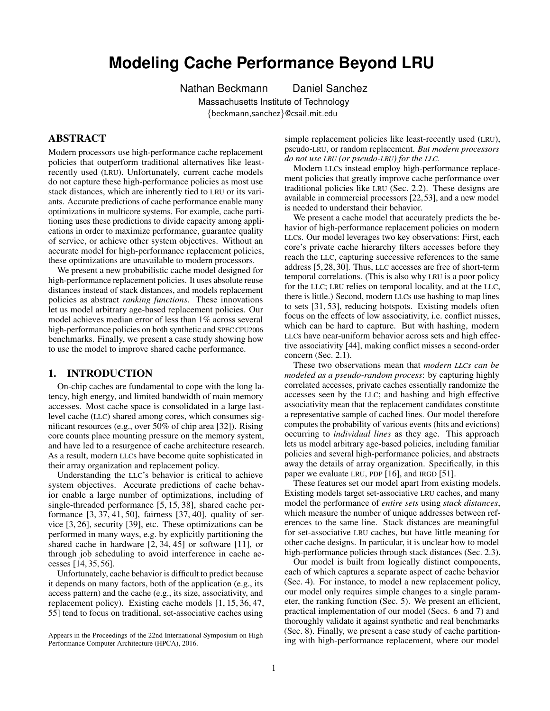# **Modeling Cache Performance Beyond LRU**

Nathan Beckmann Daniel Sanchez

Massachusetts Institute of Technology {beckmann,sanchez}@csail.mit.edu

# ABSTRACT

Modern processors use high-performance cache replacement policies that outperform traditional alternatives like leastrecently used (LRU). Unfortunately, current cache models do not capture these high-performance policies as most use stack distances, which are inherently tied to LRU or its variants. Accurate predictions of cache performance enable many optimizations in multicore systems. For example, cache partitioning uses these predictions to divide capacity among applications in order to maximize performance, guarantee quality of service, or achieve other system objectives. Without an accurate model for high-performance replacement policies, these optimizations are unavailable to modern processors.

We present a new probabilistic cache model designed for high-performance replacement policies. It uses absolute reuse distances instead of stack distances, and models replacement policies as abstract *ranking functions*. These innovations let us model arbitrary age-based replacement policies. Our model achieves median error of less than 1% across several high-performance policies on both synthetic and SPEC CPU2006 benchmarks. Finally, we present a case study showing how to use the model to improve shared cache performance.

## 1. INTRODUCTION

On-chip caches are fundamental to cope with the long latency, high energy, and limited bandwidth of main memory accesses. Most cache space is consolidated in a large lastlevel cache (LLC) shared among cores, which consumes significant resources (e.g., over 50% of chip area [\[32\]](#page-11-0)). Rising core counts place mounting pressure on the memory system, and have led to a resurgence of cache architecture research. As a result, modern LLCs have become quite sophisticated in their array organization and replacement policy.

Understanding the LLC's behavior is critical to achieve system objectives. Accurate predictions of cache behavior enable a large number of optimizations, including of single-threaded performance [\[5,](#page-11-1) [15,](#page-11-2) [38\]](#page-11-3), shared cache performance [\[3,](#page-11-4) [37,](#page-11-5) [41,](#page-11-6) [50\]](#page-11-7), fairness [\[37,](#page-11-5) [40\]](#page-11-8), quality of service [\[3,](#page-11-4) [26\]](#page-11-9), security [\[39\]](#page-11-10), etc. These optimizations can be performed in many ways, e.g. by explicitly partitioning the shared cache in hardware  $\left[2, 34, 45\right]$  $\left[2, 34, 45\right]$  $\left[2, 34, 45\right]$  $\left[2, 34, 45\right]$  $\left[2, 34, 45\right]$  or software  $\left[11\right]$ , or through job scheduling to avoid interference in cache accesses [\[14,](#page-11-15) [35,](#page-11-16) [56\]](#page-11-17).

Unfortunately, cache behavior is difficult to predict because it depends on many factors, both of the application (e.g., its access pattern) and the cache (e.g., its size, associativity, and replacement policy). Existing cache models [\[1,](#page-11-18) [15,](#page-11-2) [36,](#page-11-19) [47,](#page-11-20) [55\]](#page-11-21) tend to focus on traditional, set-associative caches using simple replacement policies like least-recently used (LRU), pseudo-LRU, or random replacement. *But modern processors do not use LRU (or pseudo-LRU) for the LLC.*

Modern LLCs instead employ high-performance replacement policies that greatly improve cache performance over traditional policies like LRU [\(Sec. 2.2\)](#page-1-0). These designs are available in commercial processors [\[22,](#page-11-22)[53\]](#page-11-23), and a new model is needed to understand their behavior.

We present a cache model that accurately predicts the behavior of high-performance replacement policies on modern LLCs. Our model leverages two key observations: First, each core's private cache hierarchy filters accesses before they reach the LLC, capturing successive references to the same address [\[5,](#page-11-1) [28,](#page-11-24) [30\]](#page-11-25). Thus, LLC accesses are free of short-term temporal correlations. (This is also why LRU is a poor policy for the LLC; LRU relies on temporal locality, and at the LLC, there is little.) Second, modern LLCs use hashing to map lines to sets [\[31,](#page-11-26) [53\]](#page-11-23), reducing hotspots. Existing models often focus on the effects of low associativity, i.e. conflict misses, which can be hard to capture. But with hashing, modern LLCs have near-uniform behavior across sets and high effective associativity [\[44\]](#page-11-27), making conflict misses a second-order concern [\(Sec. 2.1\)](#page-1-1).

These two observations mean that *modern LLCs can be modeled as a pseudo-random process*: by capturing highly correlated accesses, private caches essentially randomize the accesses seen by the LLC; and hashing and high effective associativity mean that the replacement candidates constitute a representative sample of cached lines. Our model therefore computes the probability of various events (hits and evictions) occurring to *individual lines* as they age. This approach lets us model arbitrary age-based policies, including familiar policies and several high-performance policies, and abstracts away the details of array organization. Specifically, in this paper we evaluate LRU, PDP [\[16\]](#page-11-28), and IRGD [\[51\]](#page-11-29).

These features set our model apart from existing models. Existing models target set-associative LRU caches, and many model the performance of *entire sets* using *stack distances*, which measure the number of unique addresses between references to the same line. Stack distances are meaningful for set-associative LRU caches, but have little meaning for other cache designs. In particular, it is unclear how to model high-performance policies through stack distances [\(Sec. 2.3\)](#page-1-2).

Our model is built from logically distinct components, each of which captures a separate aspect of cache behavior [\(Sec. 4\)](#page-3-0). For instance, to model a new replacement policy, our model only requires simple changes to a single parameter, the ranking function [\(Sec. 5\)](#page-5-0). We present an efficient, practical implementation of our model (Secs. [6](#page-6-0) and [7\)](#page-7-0) and thoroughly validate it against synthetic and real benchmarks [\(Sec. 8\)](#page-8-0). Finally, we present a case study of cache partitioning with high-performance replacement, where our model

Appears in the Proceedings of the 22nd International Symposium on High Performance Computer Architecture (HPCA), 2016.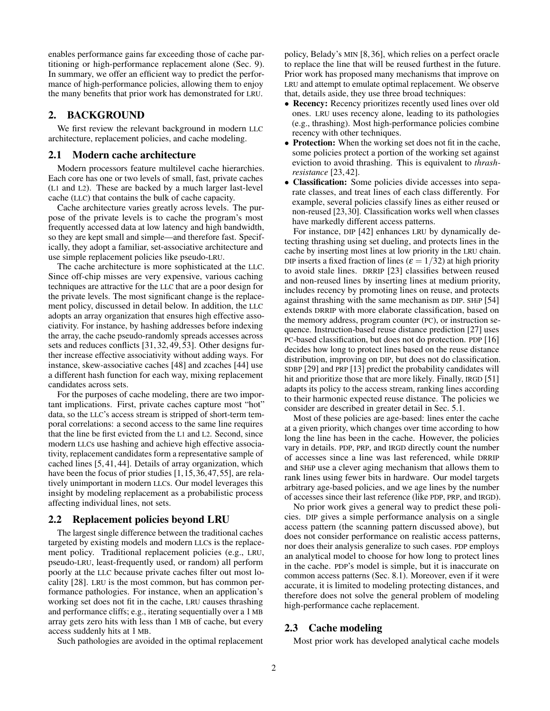enables performance gains far exceeding those of cache partitioning or high-performance replacement alone [\(Sec. 9\)](#page-10-0). In summary, we offer an efficient way to predict the performance of high-performance policies, allowing them to enjoy the many benefits that prior work has demonstrated for LRU.

# 2. BACKGROUND

We first review the relevant background in modern LLC architecture, replacement policies, and cache modeling.

#### <span id="page-1-1"></span>2.1 Modern cache architecture

Modern processors feature multilevel cache hierarchies. Each core has one or two levels of small, fast, private caches (L1 and L2). These are backed by a much larger last-level cache (LLC) that contains the bulk of cache capacity.

Cache architecture varies greatly across levels. The purpose of the private levels is to cache the program's most frequently accessed data at low latency and high bandwidth, so they are kept small and simple—and therefore fast. Specifically, they adopt a familiar, set-associative architecture and use simple replacement policies like pseudo-LRU.

The cache architecture is more sophisticated at the LLC. Since off-chip misses are very expensive, various caching techniques are attractive for the LLC that are a poor design for the private levels. The most significant change is the replacement policy, discussed in detail below. In addition, the LLC adopts an array organization that ensures high effective associativity. For instance, by hashing addresses before indexing the array, the cache pseudo-randomly spreads accesses across sets and reduces conflicts [\[31,](#page-11-26) [32,](#page-11-0) [49,](#page-11-30) [53\]](#page-11-23). Other designs further increase effective associativity without adding ways. For instance, skew-associative caches [\[48\]](#page-11-31) and zcaches [\[44\]](#page-11-27) use a different hash function for each way, mixing replacement candidates across sets.

For the purposes of cache modeling, there are two important implications. First, private caches capture most "hot" data, so the LLC's access stream is stripped of short-term temporal correlations: a second access to the same line requires that the line be first evicted from the L1 and L2. Second, since modern LLCs use hashing and achieve high effective associativity, replacement candidates form a representative sample of cached lines [\[5,](#page-11-1) [41,](#page-11-6) [44\]](#page-11-27). Details of array organization, which have been the focus of prior studies [\[1,](#page-11-18)[15,](#page-11-2)[36,](#page-11-19)[47,](#page-11-20)[55\]](#page-11-21), are relatively unimportant in modern LLCs. Our model leverages this insight by modeling replacement as a probabilistic process affecting individual lines, not sets.

# <span id="page-1-0"></span>2.2 Replacement policies beyond LRU

The largest single difference between the traditional caches targeted by existing models and modern LLCs is the replacement policy. Traditional replacement policies (e.g., LRU, pseudo-LRU, least-frequently used, or random) all perform poorly at the LLC because private caches filter out most locality [\[28\]](#page-11-24). LRU is the most common, but has common performance pathologies. For instance, when an application's working set does not fit in the cache, LRU causes thrashing and performance cliffs; e.g., iterating sequentially over a 1 MB array gets zero hits with less than 1 MB of cache, but every access suddenly hits at 1 MB.

Such pathologies are avoided in the optimal replacement

policy, Belady's MIN [\[8,](#page-11-32) [36\]](#page-11-19), which relies on a perfect oracle to replace the line that will be reused furthest in the future. Prior work has proposed many mechanisms that improve on LRU and attempt to emulate optimal replacement. We observe that, details aside, they use three broad techniques:

- Recency: Recency prioritizes recently used lines over old ones. LRU uses recency alone, leading to its pathologies (e.g., thrashing). Most high-performance policies combine recency with other techniques.
- Protection: When the working set does not fit in the cache, some policies protect a portion of the working set against eviction to avoid thrashing. This is equivalent to *thrashresistance* [\[23,](#page-11-33) [42\]](#page-11-34).
- Classification: Some policies divide accesses into separate classes, and treat lines of each class differently. For example, several policies classify lines as either reused or non-reused [\[23,](#page-11-33)[30\]](#page-11-25). Classification works well when classes have markedly different access patterns.

For instance, DIP [\[42\]](#page-11-34) enhances LRU by dynamically detecting thrashing using set dueling, and protects lines in the cache by inserting most lines at low priority in the LRU chain. DIP inserts a fixed fraction of lines ( $\varepsilon = 1/32$ ) at high priority to avoid stale lines. DRRIP [\[23\]](#page-11-33) classifies between reused and non-reused lines by inserting lines at medium priority, includes recency by promoting lines on reuse, and protects against thrashing with the same mechanism as DIP. SHiP [\[54\]](#page-11-35) extends DRRIP with more elaborate classification, based on the memory address, program counter (PC), or instruction sequence. Instruction-based reuse distance prediction [\[27\]](#page-11-36) uses PC-based classification, but does not do protection. PDP [\[16\]](#page-11-28) decides how long to protect lines based on the reuse distance distribution, improving on DIP, but does not do classification. SDBP [\[29\]](#page-11-37) and PRP [\[13\]](#page-11-38) predict the probability candidates will hit and prioritize those that are more likely. Finally, IRGD [\[51\]](#page-11-29) adapts its policy to the access stream, ranking lines according to their harmonic expected reuse distance. The policies we consider are described in greater detail in [Sec. 5.1.](#page-5-1)

Most of these policies are age-based: lines enter the cache at a given priority, which changes over time according to how long the line has been in the cache. However, the policies vary in details. PDP, PRP, and IRGD directly count the number of accesses since a line was last referenced, while DRRIP and SHiP use a clever aging mechanism that allows them to rank lines using fewer bits in hardware. Our model targets arbitrary age-based policies, and we age lines by the number of accesses since their last reference (like PDP, PRP, and IRGD).

No prior work gives a general way to predict these policies. DIP gives a simple performance analysis on a single access pattern (the scanning pattern discussed above), but does not consider performance on realistic access patterns, nor does their analysis generalize to such cases. PDP employs an analytical model to choose for how long to protect lines in the cache. PDP's model is simple, but it is inaccurate on common access patterns [\(Sec. 8.1\)](#page-8-1). Moreover, even if it were accurate, it is limited to modeling protecting distances, and therefore does not solve the general problem of modeling high-performance cache replacement.

## <span id="page-1-2"></span>2.3 Cache modeling

Most prior work has developed analytical cache models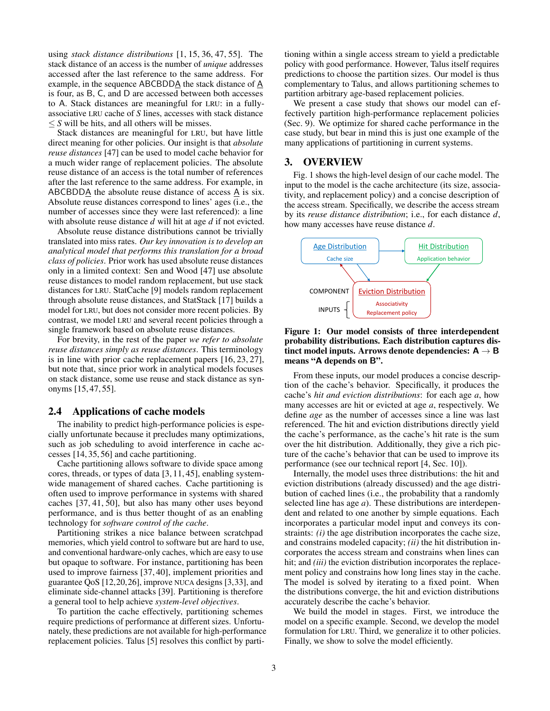using *stack distance distributions* [\[1,](#page-11-18) [15,](#page-11-2) [36,](#page-11-19) [47,](#page-11-20) [55\]](#page-11-21). The stack distance of an access is the number of *unique* addresses accessed after the last reference to the same address. For example, in the sequence ABCBDD $\underline{A}$  the stack distance of  $\underline{A}$ is four, as B, C, and D are accessed between both accesses to A. Stack distances are meaningful for LRU: in a fullyassociative LRU cache of *S* lines, accesses with stack distance  $\leq S$  will be hits, and all others will be misses.

Stack distances are meaningful for LRU, but have little direct meaning for other policies. Our insight is that *absolute reuse distances* [\[47\]](#page-11-20) can be used to model cache behavior for a much wider range of replacement policies. The absolute reuse distance of an access is the total number of references after the last reference to the same address. For example, in ABCBDD $\underline{A}$  the absolute reuse distance of access  $\underline{A}$  is six. Absolute reuse distances correspond to lines' ages (i.e., the number of accesses since they were last referenced): a line with absolute reuse distance *d* will hit at age *d* if not evicted.

Absolute reuse distance distributions cannot be trivially translated into miss rates. *Our key innovation is to develop an analytical model that performs this translation for a broad class of policies*. Prior work has used absolute reuse distances only in a limited context: Sen and Wood [\[47\]](#page-11-20) use absolute reuse distances to model random replacement, but use stack distances for LRU. StatCache [\[9\]](#page-11-39) models random replacement through absolute reuse distances, and StatStack [\[17\]](#page-11-40) builds a model for LRU, but does not consider more recent policies. By contrast, we model LRU and several recent policies through a single framework based on absolute reuse distances.

For brevity, in the rest of the paper *we refer to absolute reuse distances simply as reuse distances*. This terminology is in line with prior cache replacement papers [\[16,](#page-11-28) [23,](#page-11-33) [27\]](#page-11-36), but note that, since prior work in analytical models focuses on stack distance, some use reuse and stack distance as synonyms [\[15,](#page-11-2) [47,](#page-11-20) [55\]](#page-11-21).

### <span id="page-2-2"></span>2.4 Applications of cache models

The inability to predict high-performance policies is especially unfortunate because it precludes many optimizations, such as job scheduling to avoid interference in cache accesses [\[14,](#page-11-15) [35,](#page-11-16) [56\]](#page-11-17) and cache partitioning.

Cache partitioning allows software to divide space among cores, threads, or types of data [\[3,](#page-11-4) [11,](#page-11-14) [45\]](#page-11-13), enabling systemwide management of shared caches. Cache partitioning is often used to improve performance in systems with shared caches [\[37,](#page-11-5) [41,](#page-11-6) [50\]](#page-11-7), but also has many other uses beyond performance, and is thus better thought of as an enabling technology for *software control of the cache*.

Partitioning strikes a nice balance between scratchpad memories, which yield control to software but are hard to use, and conventional hardware-only caches, which are easy to use but opaque to software. For instance, partitioning has been used to improve fairness [\[37,](#page-11-5) [40\]](#page-11-8), implement priorities and guarantee QoS [\[12](#page-11-41)[,20,](#page-11-42)[26\]](#page-11-9), improve NUCA designs [\[3,](#page-11-4)[33\]](#page-11-43), and eliminate side-channel attacks [\[39\]](#page-11-10). Partitioning is therefore a general tool to help achieve *system-level objectives*.

To partition the cache effectively, partitioning schemes require predictions of performance at different sizes. Unfortunately, these predictions are not available for high-performance replacement policies. Talus [\[5\]](#page-11-1) resolves this conflict by partitioning within a single access stream to yield a predictable policy with good performance. However, Talus itself requires predictions to choose the partition sizes. Our model is thus complementary to Talus, and allows partitioning schemes to partition arbitrary age-based replacement policies.

We present a case study that shows our model can effectively partition high-performance replacement policies [\(Sec. 9\)](#page-10-0). We optimize for shared cache performance in the case study, but bear in mind this is just one example of the many applications of partitioning in current systems.

# <span id="page-2-1"></span>3. OVERVIEW

[Fig. 1](#page-2-0) shows the high-level design of our cache model. The input to the model is the cache architecture (its size, associativity, and replacement policy) and a concise description of the access stream. Specifically, we describe the access stream by its *reuse distance distribution*; i.e., for each distance *d*, how many accesses have reuse distance *d*.

<span id="page-2-0"></span>

Figure 1: Our model consists of three interdependent probability distributions. Each distribution captures distinct model inputs. Arrows denote dependencies:  $A \rightarrow B$ means "A depends on B".

From these inputs, our model produces a concise description of the cache's behavior. Specifically, it produces the cache's *hit and eviction distributions*: for each age *a*, how many accesses are hit or evicted at age *a*, respectively. We define *age* as the number of accesses since a line was last referenced. The hit and eviction distributions directly yield the cache's performance, as the cache's hit rate is the sum over the hit distribution. Additionally, they give a rich picture of the cache's behavior that can be used to improve its performance (see our technical report [\[4,](#page-11-44) Sec. 10]).

Internally, the model uses three distributions: the hit and eviction distributions (already discussed) and the age distribution of cached lines (i.e., the probability that a randomly selected line has age *a*). These distributions are interdependent and related to one another by simple equations. Each incorporates a particular model input and conveys its constraints: *(i)* the age distribution incorporates the cache size, and constrains modeled capacity; *(ii)* the hit distribution incorporates the access stream and constrains when lines can hit; and *(iii)* the eviction distribution incorporates the replacement policy and constrains how long lines stay in the cache. The model is solved by iterating to a fixed point. When the distributions converge, the hit and eviction distributions accurately describe the cache's behavior.

We build the model in stages. First, we introduce the model on a specific example. Second, we develop the model formulation for LRU. Third, we generalize it to other policies. Finally, we show to solve the model efficiently.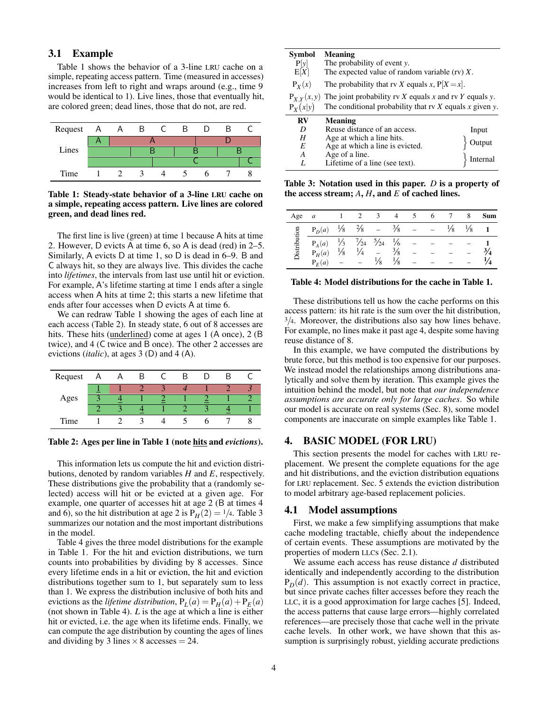# <span id="page-3-5"></span>3.1 Example

[Table 1](#page-3-1) shows the behavior of a 3-line LRU cache on a simple, repeating access pattern. Time (measured in accesses) increases from left to right and wraps around (e.g., time 9 would be identical to 1). Live lines, those that eventually hit, are colored green; dead lines, those that do not, are red.

<span id="page-3-1"></span>

Table 1: Steady-state behavior of a 3-line LRU cache on a simple, repeating access pattern. Live lines are colored green, and dead lines red.

The first line is live (green) at time 1 because A hits at time 2. However, D evicts A at time 6, so A is dead (red) in 2–5. Similarly, A evicts D at time 1, so D is dead in 6–9. B and C always hit, so they are always live. This divides the cache into *lifetimes*, the intervals from last use until hit or eviction. For example, A's lifetime starting at time 1 ends after a single access when A hits at time 2; this starts a new lifetime that ends after four accesses when D evicts A at time 6.

We can redraw [Table 1](#page-3-1) showing the ages of each line at each access [\(Table 2\)](#page-3-2). In steady state, 6 out of 8 accesses are hits. These hits (underlined) come at ages 1 (A once), 2 (B) twice), and 4 (C twice and B once). The other 2 accesses are evictions (*italic*), at ages 3 (D) and 4 (A).

<span id="page-3-2"></span>

| Request |  |  |  |  |
|---------|--|--|--|--|
|         |  |  |  |  |
| Ages    |  |  |  |  |
|         |  |  |  |  |
| Time    |  |  |  |  |

Table 2: Ages per line in [Table 1](#page-3-1) (note hits and *evictions*).

This information lets us compute the hit and eviction distributions, denoted by random variables *H* and *E*, respectively. These distributions give the probability that a (randomly selected) access will hit or be evicted at a given age. For example, one quarter of accesses hit at age 2 (B at times 4 and 6), so the hit distribution at age 2 is  $P_H(2) = \frac{1}{4}$ . [Table 3](#page-3-3) summarizes our notation and the most important distributions in the model.

[Table 4](#page-3-4) gives the three model distributions for the example in [Table 1.](#page-3-1) For the hit and eviction distributions, we turn counts into probabilities by dividing by 8 accesses. Since every lifetime ends in a hit or eviction, the hit and eviction distributions together sum to 1, but separately sum to less than 1. We express the distribution inclusive of both hits and evictions as the *lifetime distribution*,  $P_L(a) = P_H(a) + P_E(a)$ (not shown in [Table 4\)](#page-3-4). *L* is the age at which a line is either hit or evicted, i.e. the age when its lifetime ends. Finally, we can compute the age distribution by counting the ages of lines and dividing by 3 lines  $\times$  8 accesses = 24.

<span id="page-3-3"></span>

| <b>Symbol</b><br>P[y]<br>E[X]           | Meaning<br>The probability of event y.<br>The expected value of random variable $(rv) X$ .                                                         |          |  |  |  |
|-----------------------------------------|----------------------------------------------------------------------------------------------------------------------------------------------------|----------|--|--|--|
| $P_X(x)$                                | The probability that rv X equals x, $P[X=x]$ .                                                                                                     |          |  |  |  |
| $P_{X,Y}(x,y)$<br>$P_{\mathbf{Y}}(x y)$ | The joint probability $rvX$ equals $x$ and $rvY$ equals $y$ .<br>The conditional probability that $\mathbf{r} \times \mathbf{r}$ equals x given y. |          |  |  |  |
| RV                                      | <b>Meaning</b>                                                                                                                                     |          |  |  |  |
| D                                       | Reuse distance of an access.                                                                                                                       | Input    |  |  |  |
| Η                                       | Age at which a line hits.                                                                                                                          | Output   |  |  |  |
| E                                       | Age at which a line is evicted.                                                                                                                    |          |  |  |  |
| A                                       | Age of a line.                                                                                                                                     | Internal |  |  |  |
|                                         | Lifetime of a line (see text).                                                                                                                     |          |  |  |  |

Table 3: Notation used in this paper. *D* is a property of the access stream; *A*, *H*, and *E* of cached lines.

<span id="page-3-4"></span>

| Age          | a                                                    |               |                                                           | -3  | 4             |                | 6 |          |               | <b>Sum</b> |
|--------------|------------------------------------------------------|---------------|-----------------------------------------------------------|-----|---------------|----------------|---|----------|---------------|------------|
|              | $P_D(a)$ $\frac{1}{8}$ $\frac{2}{8}$ - $\frac{3}{8}$ |               |                                                           |     |               | $\overline{a}$ |   | $^{1/8}$ | $\frac{1}{8}$ |            |
| Distribution | $P_A(a)$                                             |               | $\frac{1}{3}$ $\frac{7}{24}$ $\frac{5}{24}$ $\frac{1}{6}$ |     |               |                |   |          |               |            |
|              | $P_H(a)$                                             | $\frac{1}{8}$ | $\frac{1}{4}$                                             |     | $\frac{3}{8}$ |                |   |          |               |            |
|              | $P_F(a)$                                             |               |                                                           | 1/8 | ⅓             |                |   |          |               |            |

#### Table 4: Model distributions for the cache in [Table 1.](#page-3-1)

These distributions tell us how the cache performs on this access pattern: its hit rate is the sum over the hit distribution,  $3/4$ . Moreover, the distributions also say how lines behave. For example, no lines make it past age 4, despite some having reuse distance of 8.

In this example, we have computed the distributions by brute force, but this method is too expensive for our purposes. We instead model the relationships among distributions analytically and solve them by iteration. This example gives the intuition behind the model, but note that *our independence assumptions are accurate only for large caches*. So while our model is accurate on real systems [\(Sec. 8\)](#page-8-0), some model components are inaccurate on simple examples like [Table 1.](#page-3-1)

#### <span id="page-3-0"></span>4. BASIC MODEL (FOR LRU)

This section presents the model for caches with LRU replacement. We present the complete equations for the age and hit distributions, and the eviction distribution equations for LRU replacement. [Sec. 5](#page-5-0) extends the eviction distribution to model arbitrary age-based replacement policies.

#### <span id="page-3-6"></span>4.1 Model assumptions

First, we make a few simplifying assumptions that make cache modeling tractable, chiefly about the independence of certain events. These assumptions are motivated by the properties of modern LLCs [\(Sec. 2.1\)](#page-1-1).

We assume each access has reuse distance *d* distributed identically and independently according to the distribution  $P_D(d)$ . This assumption is not exactly correct in practice, but since private caches filter accesses before they reach the LLC, it is a good approximation for large caches [\[5\]](#page-11-1). Indeed, the access patterns that cause large errors—highly correlated references—are precisely those that cache well in the private cache levels. In other work, we have shown that this assumption is surprisingly robust, yielding accurate predictions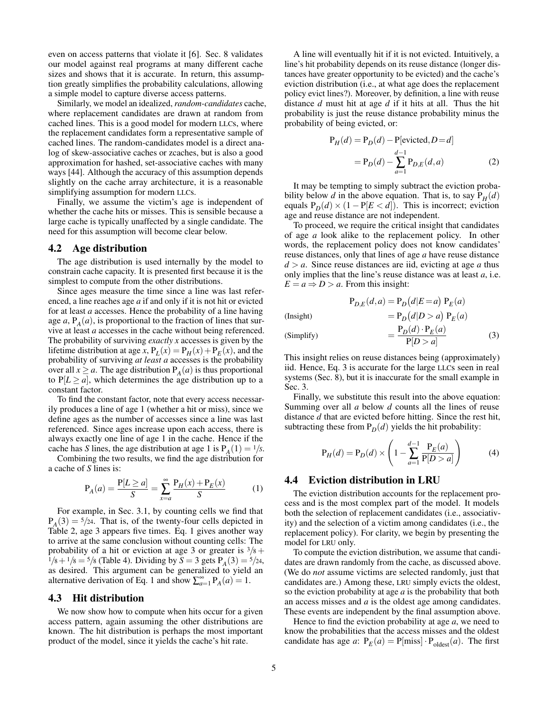even on access patterns that violate it [\[6\]](#page-11-45). [Sec. 8](#page-8-0) validates our model against real programs at many different cache sizes and shows that it is accurate. In return, this assumption greatly simplifies the probability calculations, allowing a simple model to capture diverse access patterns.

Similarly, we model an idealized, *random-candidates* cache, where replacement candidates are drawn at random from cached lines. This is a good model for modern LLCs, where the replacement candidates form a representative sample of cached lines. The random-candidates model is a direct analog of skew-associative caches or zcaches, but is also a good approximation for hashed, set-associative caches with many ways [\[44\]](#page-11-27). Although the accuracy of this assumption depends slightly on the cache array architecture, it is a reasonable simplifying assumption for modern LLCs.

Finally, we assume the victim's age is independent of whether the cache hits or misses. This is sensible because a large cache is typically unaffected by a single candidate. The need for this assumption will become clear below.

#### 4.2 Age distribution

The age distribution is used internally by the model to constrain cache capacity. It is presented first because it is the simplest to compute from the other distributions.

Since ages measure the time since a line was last referenced, a line reaches age *a* if and only if it is not hit or evicted for at least *a* accesses. Hence the probability of a line having age  $a$ ,  $P_A(a)$ , is proportional to the fraction of lines that survive at least *a* accesses in the cache without being referenced. The probability of surviving *exactly x* accesses is given by the lifetime distribution at age *x*,  $P_L(x) = P_H(x) + P_E(x)$ , and the probability of surviving *at least a* accesses is the probability over all  $x \ge a$ . The age distribution  $P_A(a)$  is thus proportional to  $P[L \ge a]$ , which determines the age distribution up to a constant factor.

To find the constant factor, note that every access necessarily produces a line of age 1 (whether a hit or miss), since we define ages as the number of accesses since a line was last referenced. Since ages increase upon each access, there is always exactly one line of age 1 in the cache. Hence if the cache has *S* lines, the age distribution at age 1 is  $P_A(1) = \frac{1}{s}$ .

Combining the two results, we find the age distribution for a cache of *S* lines is:

$$
P_A(a) = \frac{P[L \ge a]}{S} = \sum_{x=a}^{\infty} \frac{P_H(x) + P_E(x)}{S}
$$
 (1)

For example, in [Sec. 3.1,](#page-3-5) by counting cells we find that  $P_A(3) = \frac{5}{24}$ . That is, of the twenty-four cells depicted in [Table 2,](#page-3-2) age 3 appears five times. [Eq. 1](#page-4-0) gives another way to arrive at the same conclusion without counting cells: The probability of a hit or eviction at age 3 or greater is  $\frac{3}{8}$  +  $1/8 + 1/8 = 5/8$  [\(Table 4\)](#page-3-4). Dividing by  $S = 3$  gets  $P_A(3) = 5/24$ , as desired. This argument can be generalized to yield an alternative derivation of [Eq. 1](#page-4-0) and show  $\sum_{a=1}^{\infty} P_A(a) = 1$ .

#### 4.3 Hit distribution

We now show how to compute when hits occur for a given access pattern, again assuming the other distributions are known. The hit distribution is perhaps the most important product of the model, since it yields the cache's hit rate.

A line will eventually hit if it is not evicted. Intuitively, a line's hit probability depends on its reuse distance (longer distances have greater opportunity to be evicted) and the cache's eviction distribution (i.e., at what age does the replacement policy evict lines?). Moreover, by definition, a line with reuse distance *d* must hit at age *d* if it hits at all. Thus the hit probability is just the reuse distance probability minus the probability of being evicted, or:

$$
P_H(d) = P_D(d) - P[evicted, D = d]
$$
  
=  $P_D(d) - \sum_{a=1}^{d-1} P_{D,E}(d, a)$  (2)

It may be tempting to simply subtract the eviction probability below *d* in the above equation. That is, to say  $P_H(d)$ equals  $P_D(d) \times (1 - P[E < d])$ . This is incorrect; eviction age and reuse distance are not independent.

To proceed, we require the critical insight that candidates of age *a* look alike to the replacement policy. In other words, the replacement policy does not know candidates' reuse distances, only that lines of age *a* have reuse distance  $d > a$ . Since reuse distances are iid, evicting at age *a* thus only implies that the line's reuse distance was at least *a*, i.e.  $E = a \Rightarrow D > a$ . From this insight:

 $P_{D,E}(d,a) = P_D(d|E=a) P_E(a)$ 

 $P_D(d) \cdot P_E(a)$  $P[D > a]$ 

<span id="page-4-1"></span>(3)

(Insight)  $= P_D(d|D > a) P_E(a)$ 

(Simplify)

This insight relies on reuse distances being (approximately) iid. Hence, [Eq. 3](#page-4-1) is accurate for the large LLCs seen in real systems [\(Sec. 8\)](#page-8-0), but it is inaccurate for the small example in [Sec. 3.](#page-2-1)

Finally, we substitute this result into the above equation: Summing over all *a* below *d* counts all the lines of reuse distance *d* that are evicted before hitting. Since the rest hit, subtracting these from  $P_D(d)$  yields the hit probability:

<span id="page-4-2"></span>
$$
P_H(d) = P_D(d) \times \left(1 - \sum_{a=1}^{d-1} \frac{P_E(a)}{P[D > a]}\right)
$$
(4)

## <span id="page-4-0"></span>4.4 Eviction distribution in LRU

The eviction distribution accounts for the replacement process and is the most complex part of the model. It models both the selection of replacement candidates (i.e., associativity) and the selection of a victim among candidates (i.e., the replacement policy). For clarity, we begin by presenting the model for LRU only.

To compute the eviction distribution, we assume that candidates are drawn randomly from the cache, as discussed above. (We do *not* assume victims are selected randomly, just that candidates are.) Among these, LRU simply evicts the oldest, so the eviction probability at age *a* is the probability that both an access misses and *a* is the oldest age among candidates. These events are independent by the final assumption above.

Hence to find the eviction probability at age *a*, we need to know the probabilities that the access misses and the oldest candidate has age *a*:  $P_E(a) = P[\text{miss}] \cdot P_{\text{oldest}}(a)$ . The first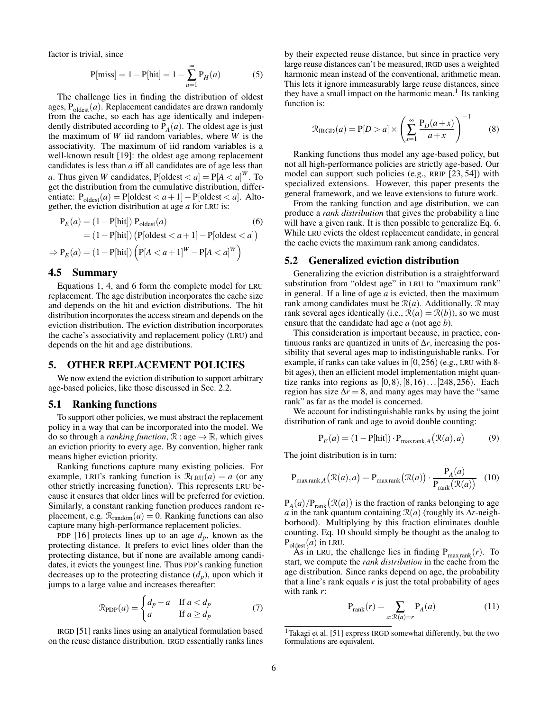factor is trivial, since

$$
P[miss] = 1 - P[hit] = 1 - \sum_{a=1}^{\infty} P_H(a)
$$
 (5)

The challenge lies in finding the distribution of oldest ages,  $P_{\text{oldest}}(a)$ . Replacement candidates are drawn randomly from the cache, so each has age identically and independently distributed according to  $P_A(a)$ . The oldest age is just the maximum of *W* iid random variables, where *W* is the associativity. The maximum of iid random variables is a well-known result [\[19\]](#page-11-46): the oldest age among replacement candidates is less than *a* iff all candidates are of age less than *a*. Thus given *W* candidates,  $P[$ oldest  $\langle a]$  =  $P[A \langle a]^W$ . To get the distribution from the cumulative distribution, differentiate:  $P_{\text{oldest}}(a) = P[\text{oldest} < a+1] - P[\text{oldest} < a]$ . Altogether, the eviction distribution at age *a* for LRU is:

$$
P_E(a) = (1 - P[hit]) P_{oldest}(a)
$$
\n
$$
= (1 - P[hit]) (P[oldest < a + 1] - P[oldest < a])
$$
\n
$$
\Rightarrow P_E(a) = (1 - P[hit]) (P[A < a + 1]^W - P[A < a]^W)
$$

# 4.5 Summary

Equations [1,](#page-4-0) [4,](#page-4-2) and [6](#page-5-2) form the complete model for LRU replacement. The age distribution incorporates the cache size and depends on the hit and eviction distributions. The hit distribution incorporates the access stream and depends on the eviction distribution. The eviction distribution incorporates the cache's associativity and replacement policy (LRU) and depends on the hit and age distributions.

#### <span id="page-5-0"></span>5. OTHER REPLACEMENT POLICIES

We now extend the eviction distribution to support arbitrary age-based policies, like those discussed in [Sec. 2.2.](#page-1-0)

# <span id="page-5-1"></span>5.1 Ranking functions

To support other policies, we must abstract the replacement policy in a way that can be incorporated into the model. We do so through a *ranking function*,  $\mathcal{R}:$  age  $\rightarrow \mathbb{R}$ , which gives an eviction priority to every age. By convention, higher rank means higher eviction priority.

Ranking functions capture many existing policies. For example, LRU's ranking function is  $\mathcal{R}_{LRU}(a) = a$  (or any other strictly increasing function). This represents LRU because it ensures that older lines will be preferred for eviction. Similarly, a constant ranking function produces random replacement, e.g.  $\mathcal{R}_{\text{random}}(a) = 0$ . Ranking functions can also capture many high-performance replacement policies.

PDP [\[16\]](#page-11-28) protects lines up to an age  $d_p$ , known as the protecting distance. It prefers to evict lines older than the protecting distance, but if none are available among candidates, it evicts the youngest line. Thus PDP's ranking function decreases up to the protecting distance  $(d_p)$ , upon which it jumps to a large value and increases thereafter:

$$
\mathcal{R}_{\text{PDP}}(a) = \begin{cases} d_p - a & \text{If } a < d_p \\ a & \text{If } a \ge d_p \end{cases} \tag{7}
$$

IRGD [\[51\]](#page-11-29) ranks lines using an analytical formulation based on the reuse distance distribution. IRGD essentially ranks lines by their expected reuse distance, but since in practice very large reuse distances can't be measured, IRGD uses a weighted harmonic mean instead of the conventional, arithmetic mean. This lets it ignore immeasurably large reuse distances, since they have a small impact on the harmonic mean.<sup>[1](#page-5-3)</sup> Its ranking function is:

$$
\mathcal{R}_{\text{IRGD}}(a) = \mathcal{P}[D > a] \times \left(\sum_{x=1}^{\infty} \frac{\mathcal{P}_D(a+x)}{a+x}\right)^{-1} \tag{8}
$$

Ranking functions thus model any age-based policy, but not all high-performance policies are strictly age-based. Our model can support such policies (e.g., RRIP [\[23,](#page-11-33) [54\]](#page-11-35)) with specialized extensions. However, this paper presents the general framework, and we leave extensions to future work.

<span id="page-5-2"></span>From the ranking function and age distribution, we can produce a *rank distribution* that gives the probability a line will have a given rank. It is then possible to generalize [Eq. 6.](#page-5-2) While LRU evicts the oldest replacement candidate, in general the cache evicts the maximum rank among candidates.

#### 5.2 Generalized eviction distribution

Generalizing the eviction distribution is a straightforward substitution from "oldest age" in LRU to "maximum rank" in general. If a line of age *a* is evicted, then the maximum rank among candidates must be  $\mathcal{R}(a)$ . Additionally,  $\mathcal{R}$  may rank several ages identically (i.e.,  $\mathcal{R}(a) = \mathcal{R}(b)$ ), so we must ensure that the candidate had age *a* (not age *b*).

This consideration is important because, in practice, continuous ranks are quantized in units of ∆*r*, increasing the possibility that several ages map to indistinguishable ranks. For example, if ranks can take values in [0,256) (e.g., LRU with 8 bit ages), then an efficient model implementation might quantize ranks into regions as  $[0,8), [8,16) \dots [248,256)$ . Each region has size  $\Delta r = 8$ , and many ages may have the "same" rank" as far as the model is concerned.

We account for indistinguishable ranks by using the joint distribution of rank and age to avoid double counting:

<span id="page-5-4"></span>
$$
P_E(a) = (1 - P[hit]) \cdot P_{\text{maxrank},A}(\mathcal{R}(a), a)
$$
 (9)

The joint distribution is in turn:

$$
P_{\max \text{rank}, A}(\mathcal{R}(a), a) = P_{\max \text{rank}}(\mathcal{R}(a)) \cdot \frac{P_A(a)}{P_{\text{rank}}(\mathcal{R}(a))}
$$
 (10)

 $P_A(a)/P_{\text{rank}}(\mathcal{R}(a))$  is the fraction of ranks belonging to age *a* in the rank quantum containing  $\mathcal{R}(a)$  (roughly its  $\Delta r$ -neighborhood). Multiplying by this fraction eliminates double counting. [Eq. 10](#page-5-4) should simply be thought as the analog to  $P_{\text{oldest}}(a)$  in LRU.

As in LRU, the challenge lies in finding  $P_{max rank}(r)$ . To start, we compute the *rank distribution* in the cache from the age distribution. Since ranks depend on age, the probability that a line's rank equals  $r$  is just the total probability of ages with rank *r*:

$$
P_{\text{rank}}(r) = \sum_{a: \mathcal{R}(a) = r} P_A(a) \tag{11}
$$

<span id="page-5-3"></span><sup>1</sup>Takagi et al. [\[51\]](#page-11-29) express IRGD somewhat differently, but the two formulations are equivalent.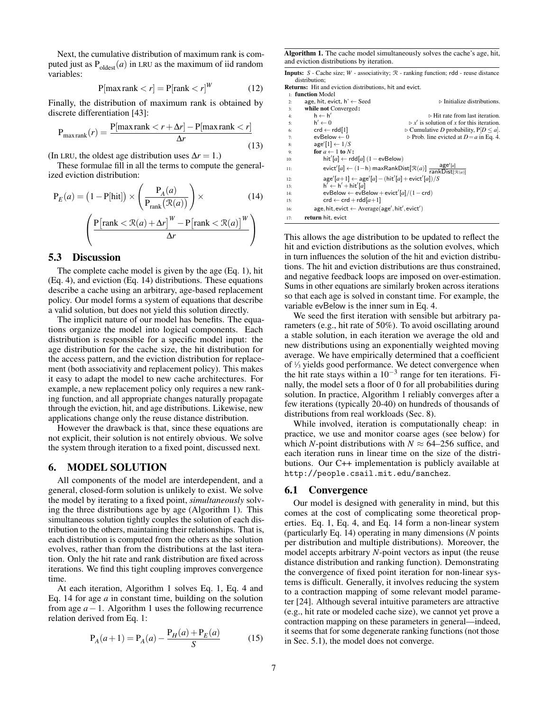Next, the cumulative distribution of maximum rank is computed just as  $P_{\text{oldest}}(a)$  in LRU as the maximum of iid random variables:

$$
P[\max \text{rank} < r] = P[\text{rank} < r]^W \tag{12}
$$

Finally, the distribution of maximum rank is obtained by discrete differentiation [\[43\]](#page-11-47):

$$
P_{\text{max} \cdot \text{rank}}(r) = \frac{P[\max \text{rank} < r + \Delta r] - P[\max \text{rank} < r]}{\Delta r} \tag{13}
$$

(In LRU, the oldest age distribution uses  $\Delta r = 1$ .)

These formulae fill in all the terms to compute the generalized eviction distribution:

$$
P_E(a) = (1 - P[hit]) \times \left(\frac{P_A(a)}{P_{rank}(\mathcal{R}(a))}\right) \times
$$
 (14)

$$
\left(\frac{\mathbf{P}\big[\mathrm{rank} < \mathcal{R}(a) + \Delta r\big]^W - \mathbf{P}\big[\mathrm{rank} < \mathcal{R}(a)\big]^W}{\Delta r}\right)
$$

# 5.3 Discussion

The complete cache model is given by the age [\(Eq. 1\)](#page-4-0), hit [\(Eq. 4\)](#page-4-2), and eviction [\(Eq. 14\)](#page-6-1) distributions. These equations describe a cache using an arbitrary, age-based replacement policy. Our model forms a system of equations that describe a valid solution, but does not yield this solution directly.

The implicit nature of our model has benefits. The equations organize the model into logical components. Each distribution is responsible for a specific model input: the age distribution for the cache size, the hit distribution for the access pattern, and the eviction distribution for replacement (both associativity and replacement policy). This makes it easy to adapt the model to new cache architectures. For example, a new replacement policy only requires a new ranking function, and all appropriate changes naturally propagate through the eviction, hit, and age distributions. Likewise, new applications change only the reuse distance distribution.

However the drawback is that, since these equations are not explicit, their solution is not entirely obvious. We solve the system through iteration to a fixed point, discussed next.

# <span id="page-6-0"></span>6. MODEL SOLUTION

All components of the model are interdependent, and a general, closed-form solution is unlikely to exist. We solve the model by iterating to a fixed point, *simultaneously* solving the three distributions age by age [\(Algorithm 1\)](#page-6-2). This simultaneous solution tightly couples the solution of each distribution to the others, maintaining their relationships. That is, each distribution is computed from the others as the solution evolves, rather than from the distributions at the last iteration. Only the hit rate and rank distribution are fixed across iterations. We find this tight coupling improves convergence time.

At each iteration, [Algorithm 1](#page-6-2) solves [Eq. 1,](#page-4-0) [Eq. 4](#page-4-2) and [Eq. 14](#page-6-1) for age *a* in constant time, building on the solution from age *a*−1. [Algorithm 1](#page-6-2) uses the following recurrence relation derived from [Eq. 1:](#page-4-0)

<span id="page-6-3"></span>
$$
P_A(a+1) = P_A(a) - \frac{P_H(a) + P_E(a)}{S}
$$
 (15)

<span id="page-6-2"></span>Algorithm 1. The cache model simultaneously solves the cache's age, hit, and eviction distributions by iteration.

Inputs: *S* - Cache size; *W* - associativity; R - ranking function; rdd - reuse distance distribution;

Returns: Hit and eviction distributions, hit and evict.

|     | 1: function Model                                        |                                                                                                         |
|-----|----------------------------------------------------------|---------------------------------------------------------------------------------------------------------|
| 2:  | age, hit, evict, $h' \leftarrow$ Seed                    | $\triangleright$ Initialize distributions.                                                              |
| 3:  | while not Converged:                                     |                                                                                                         |
| 4:  | $h \leftarrow h'$                                        | $\triangleright$ Hit rate from last iteration.                                                          |
| 5:  | $h' \leftarrow 0$                                        | $\triangleright x'$ is solution of x for this iteration.                                                |
| 6:  | $crd \leftarrow rdd[1]$                                  | $\triangleright$ Cumulative D probability, $P[D \le a]$ .                                               |
| 7:  | $evBelow \leftarrow 0$                                   | $\triangleright$ Prob. line evicted at $D = a$ in Eq. 4.                                                |
| 8:  | $age'[1] \leftarrow 1/S$                                 |                                                                                                         |
| 9:  | for $a \leftarrow 1$ to N:                               |                                                                                                         |
| 10: | hit'[a] $\leftarrow$ rdd[a] (1 – evBelow)                |                                                                                                         |
| 11: |                                                          | evict'[a] $\leftarrow$ (1-h) maxRankDist[ $\mathcal{R}(a)$ ] $\frac{age'[a]}{rankDist(\mathcal{R}(a))}$ |
| 12: | $age'[a+1] \leftarrow age'[a] - (hit'[a] + evict'[a])/S$ |                                                                                                         |
| 13: | $h' \leftarrow h' + hit'[a]$                             |                                                                                                         |
| 14: | evBelow $\leftarrow$ evBelow + evict'[a]/(1 – crd)       |                                                                                                         |
| 15: | $crd \leftarrow crd + rdd[a+1]$                          |                                                                                                         |
| 16: | $age, hit, evict \leftarrow Average(age', hit', evict')$ |                                                                                                         |
| 17: | return hit, evict                                        |                                                                                                         |

<span id="page-6-1"></span>This allows the age distribution to be updated to reflect the hit and eviction distributions as the solution evolves, which in turn influences the solution of the hit and eviction distributions. The hit and eviction distributions are thus constrained, and negative feedback loops are imposed on over-estimation. Sums in other equations are similarly broken across iterations so that each age is solved in constant time. For example, the variable evBelow is the inner sum in [Eq. 4.](#page-4-2)

We seed the first iteration with sensible but arbitrary parameters (e.g., hit rate of 50%). To avoid oscillating around a stable solution, in each iteration we average the old and new distributions using an exponentially weighted moving average. We have empirically determined that a coefficient of <sup>1</sup> ⁄<sup>3</sup> yields good performance. We detect convergence when the hit rate stays within a  $10^{-3}$  range for ten iterations. Finally, the model sets a floor of 0 for all probabilities during solution. In practice, [Algorithm 1](#page-6-2) reliably converges after a few iterations (typically 20-40) on hundreds of thousands of distributions from real workloads [\(Sec. 8\)](#page-8-0).

While involved, iteration is computationally cheap: in practice, we use and monitor coarse ages (see below) for which *N*-point distributions with  $N \approx 64-256$  suffice, and each iteration runs in linear time on the size of the distributions. Our C++ implementation is publicly available at <http://people.csail.mit.edu/sanchez>.

#### 6.1 Convergence

Our model is designed with generality in mind, but this comes at the cost of complicating some theoretical properties. [Eq. 1,](#page-4-0) [Eq. 4,](#page-4-2) and [Eq. 14](#page-6-1) form a non-linear system (particularly [Eq. 14\)](#page-6-1) operating in many dimensions (*N* points per distribution and multiple distributions). Moreover, the model accepts arbitrary *N*-point vectors as input (the reuse distance distribution and ranking function). Demonstrating the convergence of fixed point iteration for non-linear systems is difficult. Generally, it involves reducing the system to a contraction mapping of some relevant model parameter [\[24\]](#page-11-48). Although several intuitive parameters are attractive (e.g., hit rate or modeled cache size), we cannot yet prove a contraction mapping on these parameters in general—indeed, it seems that for some degenerate ranking functions (not those in [Sec. 5.1\)](#page-5-1), the model does not converge.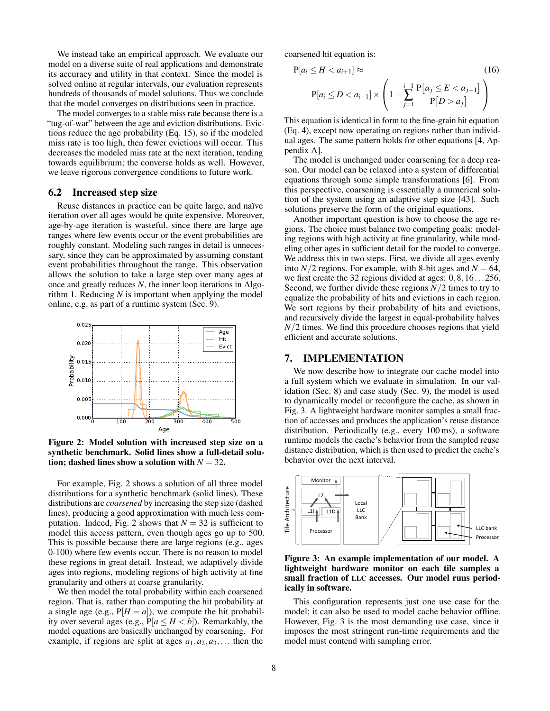We instead take an empirical approach. We evaluate our model on a diverse suite of real applications and demonstrate its accuracy and utility in that context. Since the model is solved online at regular intervals, our evaluation represents hundreds of thousands of model solutions. Thus we conclude that the model converges on distributions seen in practice.

The model converges to a stable miss rate because there is a "tug-of-war" between the age and eviction distributions. Evictions reduce the age probability [\(Eq. 15\)](#page-6-3), so if the modeled miss rate is too high, then fewer evictions will occur. This decreases the modeled miss rate at the next iteration, tending towards equilibrium; the converse holds as well. However, we leave rigorous convergence conditions to future work.

## <span id="page-7-3"></span>6.2 Increased step size

Reuse distances in practice can be quite large, and naïve iteration over all ages would be quite expensive. Moreover, age-by-age iteration is wasteful, since there are large age ranges where few events occur or the event probabilities are roughly constant. Modeling such ranges in detail is unnecessary, since they can be approximated by assuming constant event probabilities throughout the range. This observation allows the solution to take a large step over many ages at once and greatly reduces *N*, the inner loop iterations in [Algo](#page-6-2)[rithm 1.](#page-6-2) Reducing *N* is important when applying the model online, e.g. as part of a runtime system [\(Sec. 9\)](#page-10-0).

<span id="page-7-1"></span>

Figure 2: Model solution with increased step size on a synthetic benchmark. Solid lines show a full-detail solution; dashed lines show a solution with  $N = 32$ .

For example, [Fig. 2](#page-7-1) shows a solution of all three model distributions for a synthetic benchmark (solid lines). These distributions are *coarsened* by increasing the step size (dashed lines), producing a good approximation with much less com-putation. Indeed, [Fig. 2](#page-7-1) shows that  $N = 32$  is sufficient to model this access pattern, even though ages go up to 500. This is possible because there are large regions (e.g., ages 0-100) where few events occur. There is no reason to model these regions in great detail. Instead, we adaptively divide ages into regions, modeling regions of high activity at fine granularity and others at coarse granularity.

We then model the total probability within each coarsened region. That is, rather than computing the hit probability at a single age (e.g.,  $P[H = a]$ ), we compute the hit probability over several ages (e.g.,  $P[a \le H < b]$ ). Remarkably, the model equations are basically unchanged by coarsening. For example, if regions are split at ages  $a_1, a_2, a_3, \ldots$  then the coarsened hit equation is:

$$
P[a_i \le H < a_{i+1}] \approx \tag{16}
$$
\n
$$
P[a_i \le D < a_{i+1}] \times \left(1 - \sum_{j=1}^{i-1} \frac{P[a_j \le E < a_{j+1}]}{P[D > a_j]}\right)
$$

This equation is identical in form to the fine-grain hit equation [\(Eq. 4\)](#page-4-2), except now operating on regions rather than individual ages. The same pattern holds for other equations [\[4,](#page-11-44) Appendix A].

The model is unchanged under coarsening for a deep reason. Our model can be relaxed into a system of differential equations through some simple transformations [\[6\]](#page-11-45). From this perspective, coarsening is essentially a numerical solution of the system using an adaptive step size [\[43\]](#page-11-47). Such solutions preserve the form of the original equations.

Another important question is how to choose the age regions. The choice must balance two competing goals: modeling regions with high activity at fine granularity, while modeling other ages in sufficient detail for the model to converge. We address this in two steps. First, we divide all ages evenly into  $N/2$  regions. For example, with 8-bit ages and  $N = 64$ , we first create the 32 regions divided at ages: 0,8,16...256. Second, we further divide these regions *N*/2 times to try to equalize the probability of hits and evictions in each region. We sort regions by their probability of hits and evictions, and recursively divide the largest in equal-probability halves *N*/2 times. We find this procedure chooses regions that yield efficient and accurate solutions.

# <span id="page-7-0"></span>7. IMPLEMENTATION

We now describe how to integrate our cache model into a full system which we evaluate in simulation. In our validation [\(Sec. 8\)](#page-8-0) and case study [\(Sec. 9\)](#page-10-0), the model is used to dynamically model or reconfigure the cache, as shown in [Fig. 3.](#page-7-2) A lightweight hardware monitor samples a small fraction of accesses and produces the application's reuse distance distribution. Periodically (e.g., every 100 ms), a software runtime models the cache's behavior from the sampled reuse distance distribution, which is then used to predict the cache's behavior over the next interval.

<span id="page-7-2"></span>

Figure 3: An example implementation of our model. A lightweight hardware monitor on each tile samples a small fraction of LLC accesses. Our model runs periodically in software.

This configuration represents just one use case for the model; it can also be used to model cache behavior offline. However, [Fig. 3](#page-7-2) is the most demanding use case, since it imposes the most stringent run-time requirements and the model must contend with sampling error.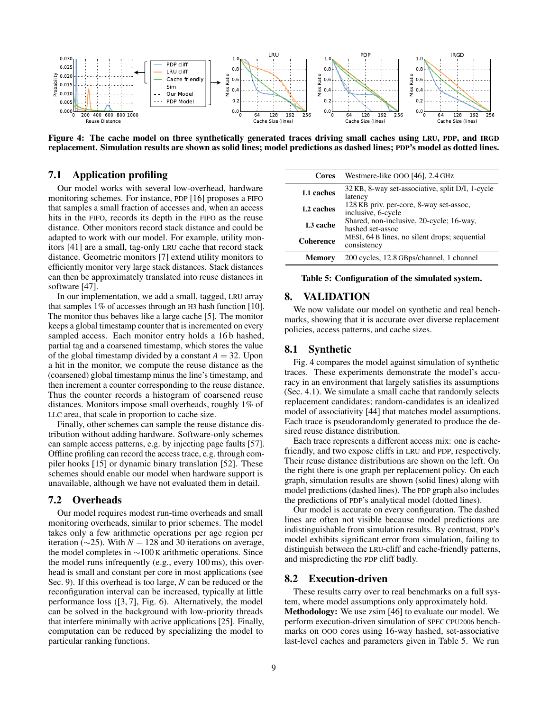<span id="page-8-2"></span>

Figure 4: The cache model on three synthetically generated traces driving small caches using LRU, PDP, and IRGD replacement. Simulation results are shown as solid lines; model predictions as dashed lines; PDP's model as dotted lines.

# 7.1 Application profiling

Our model works with several low-overhead, hardware monitoring schemes. For instance, PDP [\[16\]](#page-11-28) proposes a FIFO that samples a small fraction of accesses and, when an access hits in the FIFO, records its depth in the FIFO as the reuse distance. Other monitors record stack distance and could be adapted to work with our model. For example, utility monitors [\[41\]](#page-11-6) are a small, tag-only LRU cache that record stack distance. Geometric monitors [\[7\]](#page-11-49) extend utility monitors to efficiently monitor very large stack distances. Stack distances can then be approximately translated into reuse distances in software [\[47\]](#page-11-20).

In our implementation, we add a small, tagged, LRU array that samples 1% of accesses through an H3 hash function [\[10\]](#page-11-50). The monitor thus behaves like a large cache [\[5\]](#page-11-1). The monitor keeps a global timestamp counter that is incremented on every sampled access. Each monitor entry holds a 16 b hashed, partial tag and a coarsened timestamp, which stores the value of the global timestamp divided by a constant  $A = 32$ . Upon a hit in the monitor, we compute the reuse distance as the (coarsened) global timestamp minus the line's timestamp, and then increment a counter corresponding to the reuse distance. Thus the counter records a histogram of coarsened reuse distances. Monitors impose small overheads, roughly 1% of LLC area, that scale in proportion to cache size.

Finally, other schemes can sample the reuse distance distribution without adding hardware. Software-only schemes can sample access patterns, e.g. by injecting page faults [\[57\]](#page-11-51). Offline profiling can record the access trace, e.g. through compiler hooks [\[15\]](#page-11-2) or dynamic binary translation [\[52\]](#page-11-52). These schemes should enable our model when hardware support is unavailable, although we have not evaluated them in detail.

### 7.2 Overheads

Our model requires modest run-time overheads and small monitoring overheads, similar to prior schemes. The model takes only a few arithmetic operations per age region per iteration ( $\sim$ 25). With *N* = 128 and 30 iterations on average, the model completes in ∼100 K arithmetic operations. Since the model runs infrequently (e.g., every 100 ms), this overhead is small and constant per core in most applications (see [Sec. 9\)](#page-10-0). If this overhead is too large, *N* can be reduced or the reconfiguration interval can be increased, typically at little performance loss ([\[3,](#page-11-4) [7\]](#page-11-49), [Fig. 6\)](#page-9-0). Alternatively, the model can be solved in the background with low-priority threads that interfere minimally with active applications [\[25\]](#page-11-53). Finally, computation can be reduced by specializing the model to particular ranking functions.

<span id="page-8-3"></span>

| <b>Cores</b>          | Westmere-like OOO [46], 2.4 GHz                               |
|-----------------------|---------------------------------------------------------------|
| L1 caches             | 32 KB, 8-way set-associative, split D/I, 1-cycle<br>latency   |
| L <sub>2</sub> caches | 128 KB priv. per-core, 8-way set-assoc,<br>inclusive, 6-cycle |
| L <sub>3</sub> cache  | Shared, non-inclusive, 20-cycle; 16-way,<br>hashed set-assoc  |
| <b>Coherence</b>      | MESI, 64 B lines, no silent drops; sequential<br>consistency  |
| Memory                | 200 cycles, 12.8 GBps/channel, 1 channel                      |

#### Table 5: Configuration of the simulated system.

# <span id="page-8-0"></span>8. VALIDATION

We now validate our model on synthetic and real benchmarks, showing that it is accurate over diverse replacement policies, access patterns, and cache sizes.

# <span id="page-8-1"></span>8.1 Synthetic

[Fig. 4](#page-8-2) compares the model against simulation of synthetic traces. These experiments demonstrate the model's accuracy in an environment that largely satisfies its assumptions [\(Sec. 4.1\)](#page-3-6). We simulate a small cache that randomly selects replacement candidates; random-candidates is an idealized model of associativity [\[44\]](#page-11-27) that matches model assumptions. Each trace is pseudorandomly generated to produce the desired reuse distance distribution.

Each trace represents a different access mix: one is cachefriendly, and two expose cliffs in LRU and PDP, respectively. Their reuse distance distributions are shown on the left. On the right there is one graph per replacement policy. On each graph, simulation results are shown (solid lines) along with model predictions (dashed lines). The PDP graph also includes the predictions of PDP's analytical model (dotted lines).

Our model is accurate on every configuration. The dashed lines are often not visible because model predictions are indistinguishable from simulation results. By contrast, PDP's model exhibits significant error from simulation, failing to distinguish between the LRU-cliff and cache-friendly patterns, and mispredicting the PDP cliff badly.

## 8.2 Execution-driven

These results carry over to real benchmarks on a full system, where model assumptions only approximately hold. Methodology: We use zsim [\[46\]](#page-11-54) to evaluate our model. We perform execution-driven simulation of SPEC CPU2006 benchmarks on OOO cores using 16-way hashed, set-associative last-level caches and parameters given in [Table 5.](#page-8-3) We run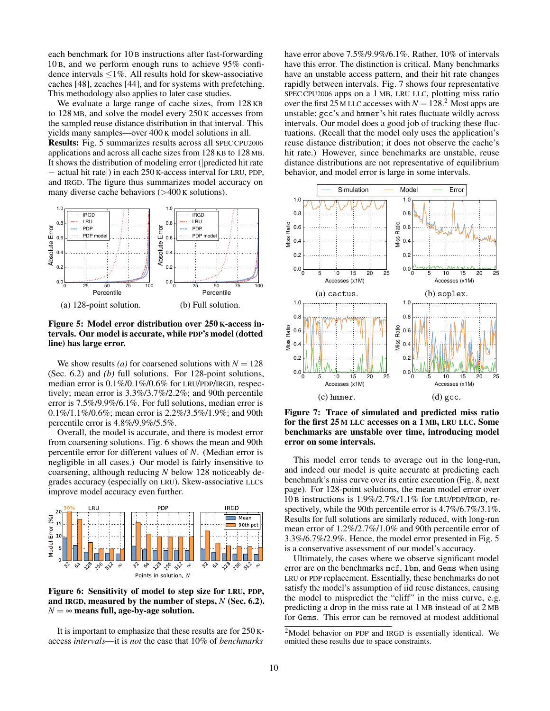each benchmark for 10 B instructions after fast-forwarding 10 B, and we perform enough runs to achieve 95% confidence intervals  $\leq$ 1%. All results hold for skew-associative caches [\[48\]](#page-11-31), zcaches [\[44\]](#page-11-27), and for systems with prefetching. This methodology also applies to later case studies.

We evaluate a large range of cache sizes, from 128 KB to 128 MB, and solve the model every 250 K accesses from the sampled reuse distance distribution in that interval. This yields many samples—over 400 K model solutions in all. Results: [Fig. 5](#page-9-1) summarizes results across all SPEC CPU2006 applications and across all cache sizes from 128 KB to 128 MB. It shows the distribution of modeling error (|predicted hit rate − actual hit rate|) in each 250 K-access interval for LRU, PDP, and IRGD. The figure thus summarizes model accuracy on many diverse cache behaviors  $(>400 \text{ K}$  solutions).

<span id="page-9-1"></span>

Figure 5: Model error distribution over 250 K-access intervals. Our model is accurate, while PDP's model (dotted line) has large error.

We show results (*a*) for coarsened solutions with  $N = 128$ [\(Sec. 6.2\)](#page-7-3) and *(b)* full solutions. For 128-point solutions, median error is 0.1%/0.1%/0.6% for LRU/PDP/IRGD, respectively; mean error is 3.3%/3.7%/2.2%; and 90th percentile error is 7.5%/9.9%/6.1%. For full solutions, median error is 0.1%/1.1%/0.6%; mean error is 2.2%/3.5%/1.9%; and 90th percentile error is 4.8%/9.9%/5.5%.

Overall, the model is accurate, and there is modest error from coarsening solutions. [Fig. 6](#page-9-0) shows the mean and 90th percentile error for different values of *N*. (Median error is negligible in all cases.) Our model is fairly insensitive to coarsening, although reducing *N* below 128 noticeably degrades accuracy (especially on LRU). Skew-associative LLCs improve model accuracy even further.

<span id="page-9-0"></span>

Figure 6: Sensitivity of model to step size for LRU, PDP, and IRGD, measured by the number of steps, *N* [\(Sec. 6.2\)](#page-7-3).  $N = \infty$  means full, age-by-age solution.

It is important to emphasize that these results are for 250 Kaccess *intervals*—it is *not* the case that 10% of *benchmarks* have error above 7.5%/9.9%/6.1%. Rather, 10% of intervals have this error. The distinction is critical. Many benchmarks have an unstable access pattern, and their hit rate changes rapidly between intervals. [Fig. 7](#page-9-2) shows four representative SPEC CPU2006 apps on a 1 MB, LRU LLC, plotting miss ratio over the first [2](#page-9-3)5 M LLC accesses with  $N = 128$ .<sup>2</sup> Most apps are unstable; gcc's and hmmer's hit rates fluctuate wildly across intervals. Our model does a good job of tracking these fluctuations. (Recall that the model only uses the application's reuse distance distribution; it does not observe the cache's hit rate.) However, since benchmarks are unstable, reuse distance distributions are not representative of equilibrium behavior, and model error is large in some intervals.

<span id="page-9-2"></span>

Figure 7: Trace of simulated and predicted miss ratio for the first 25 M LLC accesses on a 1 MB, LRU LLC. Some benchmarks are unstable over time, introducing model error on some intervals.

This model error tends to average out in the long-run, and indeed our model is quite accurate at predicting each benchmark's miss curve over its entire execution [\(Fig. 8,](#page-10-1) next page). For 128-point solutions, the mean model error over 10 B instructions is 1.9%/2.7%/1.1% for LRU/PDP/IRGD, respectively, while the 90th percentile error is 4.7%/6.7%/3.1%. Results for full solutions are similarly reduced, with long-run mean error of 1.2%/2.7%/1.0% and 90th percentile error of 3.3%/6.7%/2.9%. Hence, the model error presented in [Fig. 5](#page-9-1) is a conservative assessment of our model's accuracy.

Ultimately, the cases where we observe significant model error are on the benchmarks mcf, lbm, and Gems when using LRU or PDP replacement. Essentially, these benchmarks do not satisfy the model's assumption of iid reuse distances, causing the model to mispredict the "cliff" in the miss curve, e.g. predicting a drop in the miss rate at 1 MB instead of at 2 MB for Gems. This error can be removed at modest additional

<span id="page-9-3"></span><sup>2</sup>Model behavior on PDP and IRGD is essentially identical. We omitted these results due to space constraints.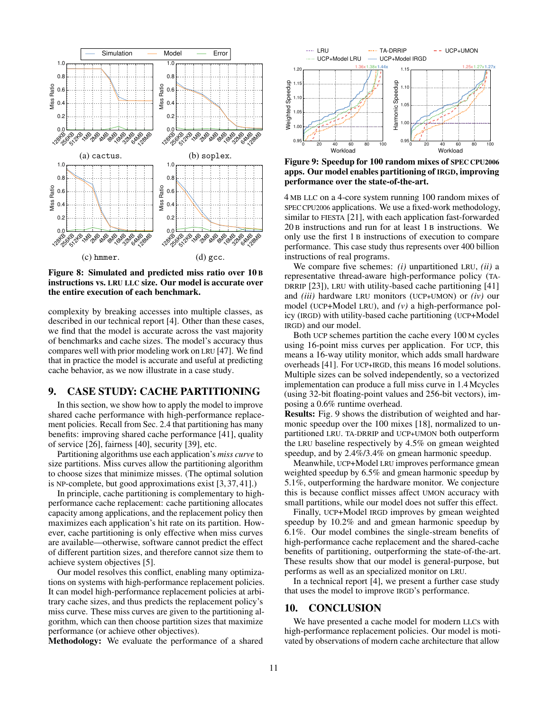<span id="page-10-1"></span>

Figure 8: Simulated and predicted miss ratio over 10 B instructions vs. LRU LLC size. Our model is accurate over the entire execution of each benchmark.

complexity by breaking accesses into multiple classes, as described in our technical report [\[4\]](#page-11-44). Other than these cases, we find that the model is accurate across the vast majority of benchmarks and cache sizes. The model's accuracy thus compares well with prior modeling work on LRU [\[47\]](#page-11-20). We find that in practice the model is accurate and useful at predicting cache behavior, as we now illustrate in a case study.

# <span id="page-10-0"></span>9. CASE STUDY: CACHE PARTITIONING

In this section, we show how to apply the model to improve shared cache performance with high-performance replacement policies. Recall from [Sec. 2.4](#page-2-2) that partitioning has many benefits: improving shared cache performance [\[41\]](#page-11-6), quality of service [\[26\]](#page-11-9), fairness [\[40\]](#page-11-8), security [\[39\]](#page-11-10), etc.

Partitioning algorithms use each application's *miss curve* to size partitions. Miss curves allow the partitioning algorithm to choose sizes that minimize misses. (The optimal solution is NP-complete, but good approximations exist [\[3,](#page-11-4) [37,](#page-11-5) [41\]](#page-11-6).)

In principle, cache partitioning is complementary to highperformance cache replacement: cache partitioning allocates capacity among applications, and the replacement policy then maximizes each application's hit rate on its partition. However, cache partitioning is only effective when miss curves are available—otherwise, software cannot predict the effect of different partition sizes, and therefore cannot size them to achieve system objectives [\[5\]](#page-11-1).

Our model resolves this conflict, enabling many optimizations on systems with high-performance replacement policies. It can model high-performance replacement policies at arbitrary cache sizes, and thus predicts the replacement policy's miss curve. These miss curves are given to the partitioning algorithm, which can then choose partition sizes that maximize performance (or achieve other objectives).

Methodology: We evaluate the performance of a shared

<span id="page-10-2"></span>

Figure 9: Speedup for 100 random mixes of SPEC CPU2006 apps. Our model enables partitioning of IRGD, improving performance over the state-of-the-art.

4 MB LLC on a 4-core system running 100 random mixes of SPEC CPU2006 applications. We use a fixed-work methodology, similar to FIESTA [\[21\]](#page-11-55), with each application fast-forwarded 20 B instructions and run for at least 1 B instructions. We only use the first 1 B instructions of execution to compare performance. This case study thus represents over 400 billion instructions of real programs.

We compare five schemes: *(i)* unpartitioned LRU, *(ii)* a representative thread-aware high-performance policy (TA-DRRIP [\[23\]](#page-11-33)), LRU with utility-based cache partitioning [\[41\]](#page-11-6) and *(iii)* hardware LRU monitors (UCP+UMON) or *(iv)* our model (UCP+Model LRU), and *(v)* a high-performance policy (IRGD) with utility-based cache partitioning (UCP+Model IRGD) and our model.

Both UCP schemes partition the cache every 100 M cycles using 16-point miss curves per application. For UCP, this means a 16-way utility monitor, which adds small hardware overheads [\[41\]](#page-11-6). For UCP+IRGD, this means 16 model solutions. Multiple sizes can be solved independently, so a vectorized implementation can produce a full miss curve in 1.4 Mcycles (using 32-bit floating-point values and 256-bit vectors), imposing a 0.6% runtime overhead.

Results: [Fig. 9](#page-10-2) shows the distribution of weighted and harmonic speedup over the 100 mixes [\[18\]](#page-11-56), normalized to unpartitioned LRU. TA-DRRIP and UCP+UMON both outperform the LRU baseline respectively by 4.5% on gmean weighted speedup, and by 2.4%/3.4% on gmean harmonic speedup.

Meanwhile, UCP+Model LRU improves performance gmean weighted speedup by 6.5% and gmean harmonic speedup by 5.1%, outperforming the hardware monitor. We conjecture this is because conflict misses affect UMON accuracy with small partitions, while our model does not suffer this effect.

Finally, UCP+Model IRGD improves by gmean weighted speedup by 10.2% and and gmean harmonic speedup by 6.1%. Our model combines the single-stream benefits of high-performance cache replacement and the shared-cache benefits of partitioning, outperforming the state-of-the-art. These results show that our model is general-purpose, but performs as well as an specialized monitor on LRU.

In a technical report [\[4\]](#page-11-44), we present a further case study that uses the model to improve IRGD's performance.

#### 10. CONCLUSION

We have presented a cache model for modern LLCs with high-performance replacement policies. Our model is motivated by observations of modern cache architecture that allow